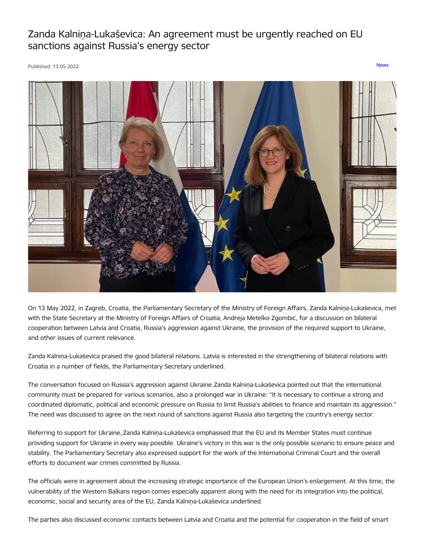## Zanda Kalniņa-Lukaševica: An agreement must be urgently reached on EU sanctions against Russia's energy sector

Published: 13.05.2022. [News](https://www.mfa.gov.lv/en/articles?category%255B253%255D=253)



On 13 May 2022, in Zagreb, Croatia, the Parliamentary Secretary of the Ministry of Foreign Affairs, Zanda Kalniņa-Lukaševica, met with the State Secretary at the Ministry of Foreign Affairs of Croatia, Andreja Metelko Zgombić, for a discussion on bilateral cooperation between Latvia and Croatia, Russia's aggression against Ukraine, the provision of the required support to Ukraine, and other issues of current relevance.

Zanda Kalniņa-Lukaševica praised the good bilateral relations. Latvia is interested in the strengthening of bilateral relations with Croatia in a number of fields, the Parliamentary Secretary underlined.

The conversation focused on Russia's aggression against Ukraine.Zanda Kalniņa-Lukaševica pointed out that the international community must be prepared for various scenarios, also a prolonged war in Ukraine: "It is necessary to continue a strong and coordinated diplomatic, political and economic pressure on Russia to limit Russia's abilities to finance and maintain its aggression." The need was discussed to agree on the next round of sanctions against Russia also targeting the country's energy sector.

Referring to support for Ukraine, Zanda Kalniņa-Lukaševica emphasised that the EU and its Member States must continue providing support for Ukraine in every way possible. Ukraine's victory in this war is the only possible scenario to ensure peace and stability. The Parliamentary Secretary also expressed support for the work of the International Criminal Court and the overall efforts to document war crimes committed by Russia.

The officials were in agreement about the increasing strategic importance of the European Union's enlargement. At this time, the vulnerability of the Western Balkans region comes especially apparent along with the need for its integration into the political, economic, social and security area of the EU, Zanda Kalniņa-Lukaševica underlined.

The parties also discussed economic contacts between Latvia and Croatia and the potential for cooperation in the field of smart